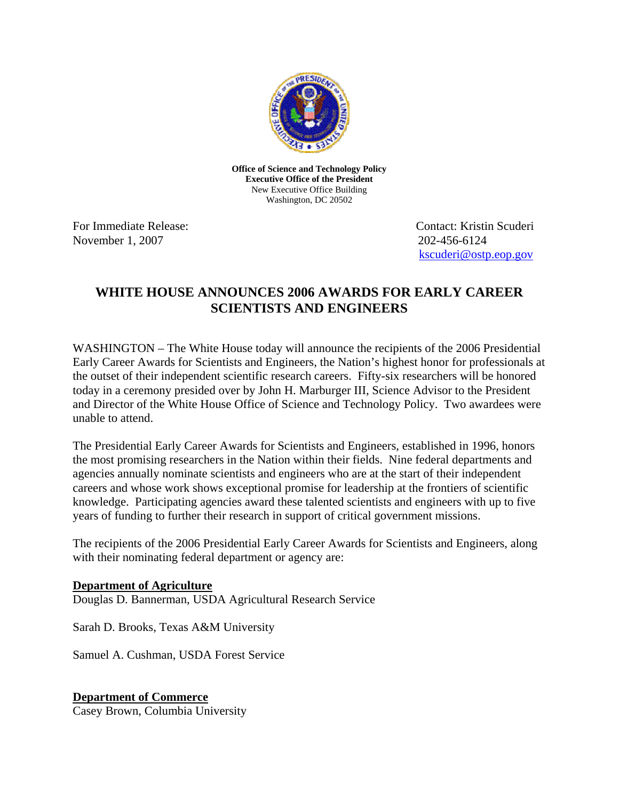

**Office of Science and Technology Policy Executive Office of the President**  New Executive Office Building Washington, DC 20502

November 1, 2007 202-456-6124

For Immediate Release: The Contact: Kristin Scudering Contact: Kristin Scudering Contact: Kristin Scudering Contact: Kristin Scudering Contact: Kristin Scudering Contact: Kristin Scudering Contact: Kristin Scudering Contac [kscuderi@ostp.eop.gov](mailto:kscuderi@ostp.eop.gov)

# **WHITE HOUSE ANNOUNCES 2006 AWARDS FOR EARLY CAREER SCIENTISTS AND ENGINEERS**

WASHINGTON – The White House today will announce the recipients of the 2006 Presidential Early Career Awards for Scientists and Engineers, the Nation's highest honor for professionals at the outset of their independent scientific research careers. Fifty-six researchers will be honored today in a ceremony presided over by John H. Marburger III, Science Advisor to the President and Director of the White House Office of Science and Technology Policy. Two awardees were unable to attend.

The Presidential Early Career Awards for Scientists and Engineers, established in 1996, honors the most promising researchers in the Nation within their fields. Nine federal departments and agencies annually nominate scientists and engineers who are at the start of their independent careers and whose work shows exceptional promise for leadership at the frontiers of scientific knowledge. Participating agencies award these talented scientists and engineers with up to five years of funding to further their research in support of critical government missions.

The recipients of the 2006 Presidential Early Career Awards for Scientists and Engineers, along with their nominating federal department or agency are:

#### **Department of Agriculture**

Douglas D. Bannerman, USDA Agricultural Research Service

Sarah D. Brooks, Texas A&M University

Samuel A. Cushman, USDA Forest Service

## **Department of Commerce**

Casey Brown, Columbia University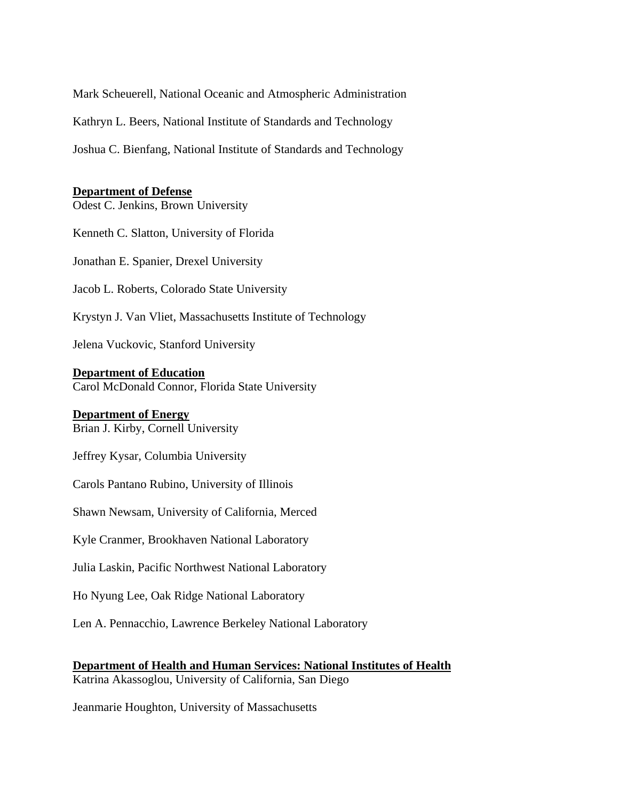Mark Scheuerell, National Oceanic and Atmospheric Administration

Kathryn L. Beers, National Institute of Standards and Technology

Joshua C. Bienfang, National Institute of Standards and Technology

#### **Department of Defense**

Odest C. Jenkins, Brown University

Kenneth C. Slatton, University of Florida

Jonathan E. Spanier, Drexel University

Jacob L. Roberts, Colorado State University

Krystyn J. Van Vliet, Massachusetts Institute of Technology

Jelena Vuckovic, Stanford University

#### **Department of Education**

Carol McDonald Connor, Florida State University

#### **Department of Energy**

Brian J. Kirby, Cornell University

Jeffrey Kysar, Columbia University

Carols Pantano Rubino, University of Illinois

Shawn Newsam, University of California, Merced

Kyle Cranmer, Brookhaven National Laboratory

Julia Laskin, Pacific Northwest National Laboratory

Ho Nyung Lee, Oak Ridge National Laboratory

Len A. Pennacchio, Lawrence Berkeley National Laboratory

**Department of Health and Human Services: National Institutes of Health**

Katrina Akassoglou, University of California, San Diego

Jeanmarie Houghton, University of Massachusetts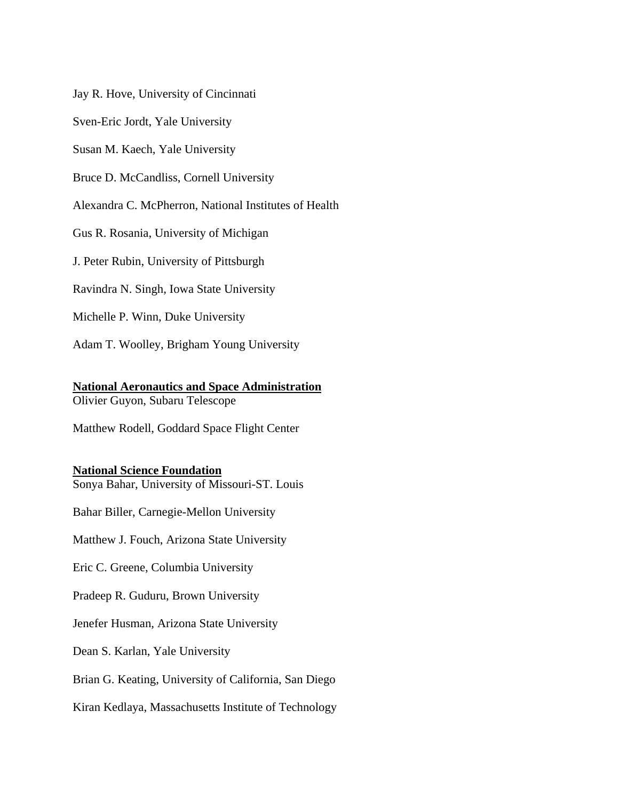Jay R. Hove, University of Cincinnati

Sven-Eric Jordt, Yale University

Susan M. Kaech, Yale University

Bruce D. McCandliss, Cornell University

Alexandra C. McPherron, National Institutes of Health

Gus R. Rosania, University of Michigan

J. Peter Rubin, University of Pittsburgh

Ravindra N. Singh, Iowa State University

Michelle P. Winn, Duke University

Adam T. Woolley, Brigham Young University

### **National Aeronautics and Space Administration**

Olivier Guyon, Subaru Telescope

Matthew Rodell, Goddard Space Flight Center

#### **National Science Foundation**

Sonya Bahar, University of Missouri-ST. Louis

Bahar Biller, Carnegie-Mellon University

Matthew J. Fouch, Arizona State University

Eric C. Greene, Columbia University

Pradeep R. Guduru, Brown University

Jenefer Husman, Arizona State University

Dean S. Karlan, Yale University

Brian G. Keating, University of California, San Diego

Kiran Kedlaya, Massachusetts Institute of Technology